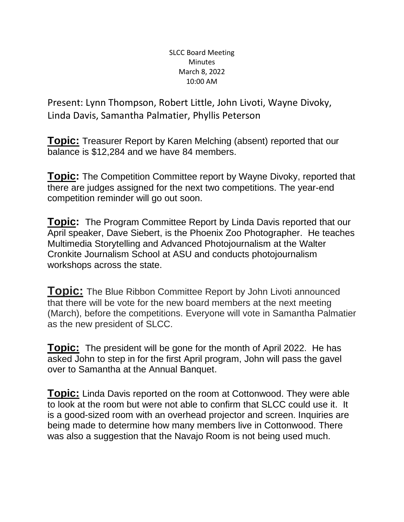## SLCC Board Meeting Minutes March 8, 2022 10:00 AM

Present: Lynn Thompson, Robert Little, John Livoti, Wayne Divoky, Linda Davis, Samantha Palmatier, Phyllis Peterson

**Topic:** Treasurer Report by Karen Melching (absent) reported that our balance is \$12,284 and we have 84 members.

**Topic:** The Competition Committee report by Wayne Divoky, reported that there are judges assigned for the next two competitions. The year-end competition reminder will go out soon.

**Topic:** The Program Committee Report by Linda Davis reported that our April speaker, Dave Siebert, is the Phoenix Zoo Photographer. He teaches Multimedia Storytelling and Advanced Photojournalism at the Walter Cronkite Journalism School at ASU and conducts photojournalism workshops across the state.

**Topic:** The Blue Ribbon Committee Report by John Livoti announced that there will be vote for the new board members at the next meeting (March), before the competitions. Everyone will vote in Samantha Palmatier as the new president of SLCC.

**Topic:** The president will be gone for the month of April 2022. He has asked John to step in for the first April program, John will pass the gavel over to Samantha at the Annual Banquet.

**Topic:** Linda Davis reported on the room at Cottonwood. They were able to look at the room but were not able to confirm that SLCC could use it. It is a good-sized room with an overhead projector and screen. Inquiries are being made to determine how many members live in Cottonwood. There was also a suggestion that the Navajo Room is not being used much.